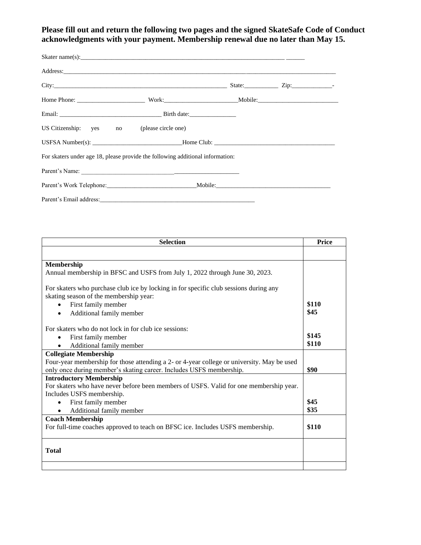### **Please fill out and return the following two pages and the signed SkateSafe Code of Conduct acknowledgments with your payment. Membership renewal due no later than May 15.**

|                                                                                | City: Zip: 210. |  |  |  |
|--------------------------------------------------------------------------------|-----------------|--|--|--|
|                                                                                |                 |  |  |  |
|                                                                                |                 |  |  |  |
| US Citizenship: yes no (please circle one)                                     |                 |  |  |  |
|                                                                                |                 |  |  |  |
| For skaters under age 18, please provide the following additional information: |                 |  |  |  |
|                                                                                |                 |  |  |  |
|                                                                                |                 |  |  |  |
|                                                                                |                 |  |  |  |

| <b>Selection</b>                                                                           |       |  |
|--------------------------------------------------------------------------------------------|-------|--|
|                                                                                            |       |  |
| Membership                                                                                 |       |  |
| Annual membership in BFSC and USFS from July 1, 2022 through June 30, 2023.                |       |  |
| For skaters who purchase club ice by locking in for specific club sessions during any      |       |  |
| skating season of the membership year:                                                     |       |  |
| First family member<br>$\bullet$                                                           | \$110 |  |
| Additional family member<br>$\bullet$                                                      | \$45  |  |
| For skaters who do not lock in for club ice sessions:                                      |       |  |
| First family member                                                                        | \$145 |  |
| Additional family member                                                                   | \$110 |  |
| <b>Collegiate Membership</b>                                                               |       |  |
| Four-year membership for those attending a 2- or 4-year college or university. May be used |       |  |
| only once during member's skating career. Includes USFS membership.                        | \$90  |  |
| <b>Introductory Membership</b>                                                             |       |  |
| For skaters who have never before been members of USFS. Valid for one membership year.     |       |  |
| Includes USFS membership.                                                                  |       |  |
| First family member                                                                        | \$45  |  |
| Additional family member                                                                   | \$35  |  |
| <b>Coach Membership</b>                                                                    |       |  |
| For full-time coaches approved to teach on BFSC ice. Includes USFS membership.             | \$110 |  |
| <b>Total</b>                                                                               |       |  |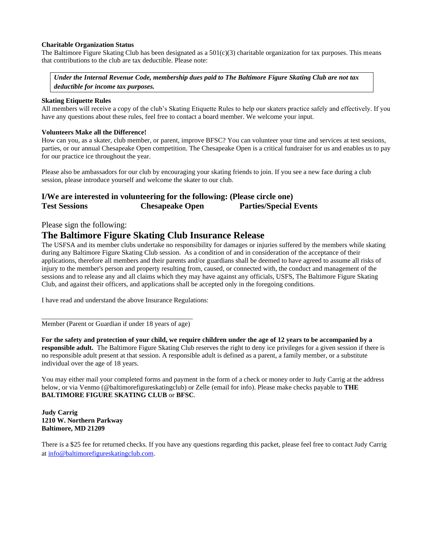#### **Charitable Organization Status**

The Baltimore Figure Skating Club has been designated as a  $501(c)(3)$  charitable organization for tax purposes. This means that contributions to the club are tax deductible. Please note:

*Under the Internal Revenue Code, membership dues paid to The Baltimore Figure Skating Club are not tax deductible for income tax purposes.*

#### **Skating Etiquette Rules**

All members will receive a copy of the club's Skating Etiquette Rules to help our skaters practice safely and effectively. If you have any questions about these rules, feel free to contact a board member. We welcome your input.

#### **Volunteers Make all the Difference!**

How can you, as a skater, club member, or parent, improve BFSC? You can volunteer your time and services at test sessions, parties, or our annual Chesapeake Open competition. The Chesapeake Open is a critical fundraiser for us and enables us to pay for our practice ice throughout the year.

Please also be ambassadors for our club by encouraging your skating friends to join. If you see a new face during a club session, please introduce yourself and welcome the skater to our club.

### **I/We are interested in volunteering for the following: (Please circle one) Test Sessions Chesapeake Open Parties/Special Events**

### Please sign the following:

## **The Baltimore Figure Skating Club Insurance Release**

The USFSA and its member clubs undertake no responsibility for damages or injuries suffered by the members while skating during any Baltimore Figure Skating Club session. As a condition of and in consideration of the acceptance of their applications, therefore all members and their parents and/or guardians shall be deemed to have agreed to assume all risks of injury to the member's person and property resulting from, caused, or connected with, the conduct and management of the sessions and to release any and all claims which they may have against any officials, USFS, The Baltimore Figure Skating Club, and against their officers, and applications shall be accepted only in the foregoing conditions.

I have read and understand the above Insurance Regulations:

\_\_\_\_\_\_\_\_\_\_\_\_\_\_\_\_\_\_\_\_\_\_\_\_\_\_\_\_\_\_\_\_\_\_\_\_\_\_\_\_\_\_\_\_ Member (Parent or Guardian if under 18 years of age)

**For the safety and protection of your child, we require children under the age of 12 years to be accompanied by a responsible adult.** The Baltimore Figure Skating Club reserves the right to deny ice privileges for a given session if there is no responsible adult present at that session. A responsible adult is defined as a parent, a family member, or a substitute individual over the age of 18 years.

You may either mail your completed forms and payment in the form of a check or money order to Judy Carrig at the address below, or via Venmo (@baltimorefigureskatingclub) or Zelle (email for info). Please make checks payable to **THE BALTIMORE FIGURE SKATING CLUB** or **BFSC**.

#### **Judy Carrig 1210 W. Northern Parkway Baltimore, MD 21209**

There is a \$25 fee for returned checks. If you have any questions regarding this packet, please feel free to contact Judy Carrig at [info@baltimorefigureskatingclub.com.](mailto:info@baltimorefigureskatingclub.com)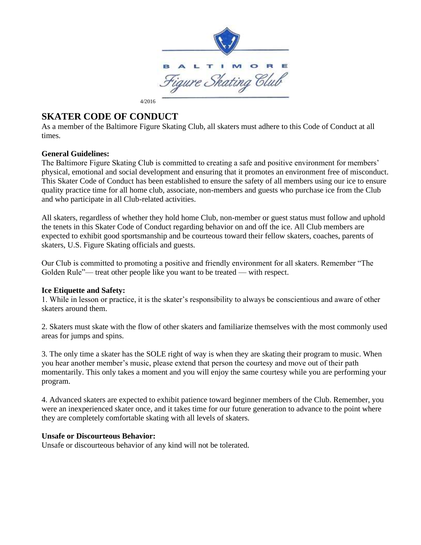

# **SKATER CODE OF CONDUCT**

As a member of the Baltimore Figure Skating Club, all skaters must adhere to this Code of Conduct at all times.

### **General Guidelines:**

The Baltimore Figure Skating Club is committed to creating a safe and positive environment for members' physical, emotional and social development and ensuring that it promotes an environment free of misconduct. This Skater Code of Conduct has been established to ensure the safety of all members using our ice to ensure quality practice time for all home club, associate, non-members and guests who purchase ice from the Club and who participate in all Club-related activities.

All skaters, regardless of whether they hold home Club, non-member or guest status must follow and uphold the tenets in this Skater Code of Conduct regarding behavior on and off the ice. All Club members are expected to exhibit good sportsmanship and be courteous toward their fellow skaters, coaches, parents of skaters, U.S. Figure Skating officials and guests.

Our Club is committed to promoting a positive and friendly environment for all skaters. Remember "The Golden Rule"— treat other people like you want to be treated — with respect.

### **Ice Etiquette and Safety:**

1. While in lesson or practice, it is the skater's responsibility to always be conscientious and aware of other skaters around them.

2. Skaters must skate with the flow of other skaters and familiarize themselves with the most commonly used areas for jumps and spins.

3. The only time a skater has the SOLE right of way is when they are skating their program to music. When you hear another member's music, please extend that person the courtesy and move out of their path momentarily. This only takes a moment and you will enjoy the same courtesy while you are performing your program.

4. Advanced skaters are expected to exhibit patience toward beginner members of the Club. Remember, you were an inexperienced skater once, and it takes time for our future generation to advance to the point where they are completely comfortable skating with all levels of skaters.

### **Unsafe or Discourteous Behavior:**

Unsafe or discourteous behavior of any kind will not be tolerated.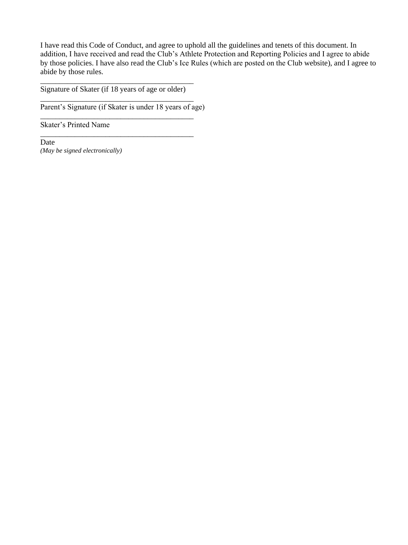I have read this Code of Conduct, and agree to uphold all the guidelines and tenets of this document. In addition, I have received and read the Club's Athlete Protection and Reporting Policies and I agree to abide by those policies. I have also read the Club's Ice Rules (which are posted on the Club website), and I agree to abide by those rules.

\_\_\_\_\_\_\_\_\_\_\_\_\_\_\_\_\_\_\_\_\_\_\_\_\_\_\_\_\_\_\_\_\_\_\_\_\_\_\_\_ Signature of Skater (if 18 years of age or older) \_\_\_\_\_\_\_\_\_\_\_\_\_\_\_\_\_\_\_\_\_\_\_\_\_\_\_\_\_\_\_\_\_\_\_\_\_\_\_\_

Parent's Signature (if Skater is under 18 years of age)

\_\_\_\_\_\_\_\_\_\_\_\_\_\_\_\_\_\_\_\_\_\_\_\_\_\_\_\_\_\_\_\_\_\_\_\_\_\_\_\_

\_\_\_\_\_\_\_\_\_\_\_\_\_\_\_\_\_\_\_\_\_\_\_\_\_\_\_\_\_\_\_\_\_\_\_\_\_\_\_\_

Skater's Printed Name

Date *(May be signed electronically)*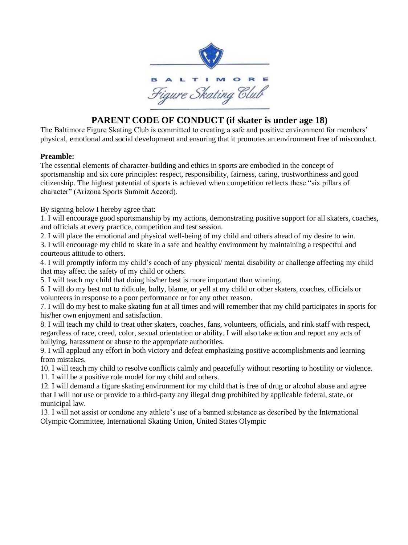

# **PARENT CODE OF CONDUCT (if skater is under age 18)**

The Baltimore Figure Skating Club is committed to creating a safe and positive environment for members' physical, emotional and social development and ensuring that it promotes an environment free of misconduct.

### **Preamble:**

The essential elements of character-building and ethics in sports are embodied in the concept of sportsmanship and six core principles: respect, responsibility, fairness, caring, trustworthiness and good citizenship. The highest potential of sports is achieved when competition reflects these "six pillars of character" (Arizona Sports Summit Accord).

By signing below I hereby agree that:

1. I will encourage good sportsmanship by my actions, demonstrating positive support for all skaters, coaches, and officials at every practice, competition and test session.

2. I will place the emotional and physical well-being of my child and others ahead of my desire to win.

3. I will encourage my child to skate in a safe and healthy environment by maintaining a respectful and courteous attitude to others.

4. I will promptly inform my child's coach of any physical/ mental disability or challenge affecting my child that may affect the safety of my child or others.

5. I will teach my child that doing his/her best is more important than winning.

6. I will do my best not to ridicule, bully, blame, or yell at my child or other skaters, coaches, officials or volunteers in response to a poor performance or for any other reason.

7. I will do my best to make skating fun at all times and will remember that my child participates in sports for his/her own enjoyment and satisfaction.

8. I will teach my child to treat other skaters, coaches, fans, volunteers, officials, and rink staff with respect, regardless of race, creed, color, sexual orientation or ability. I will also take action and report any acts of bullying, harassment or abuse to the appropriate authorities.

9. I will applaud any effort in both victory and defeat emphasizing positive accomplishments and learning from mistakes.

10. I will teach my child to resolve conflicts calmly and peacefully without resorting to hostility or violence. 11. I will be a positive role model for my child and others.

12. I will demand a figure skating environment for my child that is free of drug or alcohol abuse and agree that I will not use or provide to a third-party any illegal drug prohibited by applicable federal, state, or municipal law.

13. I will not assist or condone any athlete's use of a banned substance as described by the International Olympic Committee, International Skating Union, United States Olympic